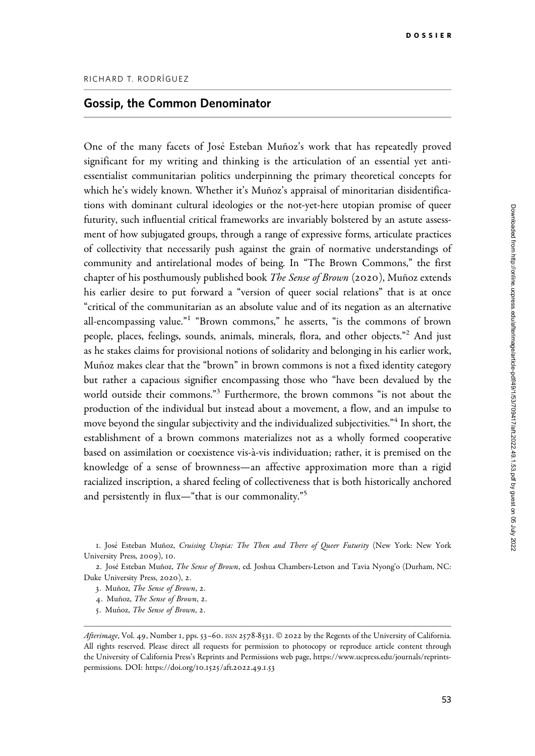## Gossip, the Common Denominator

One of the many facets of José Esteban Muñoz's work that has repeatedly proved significant for my writing and thinking is the articulation of an essential yet antiessentialist communitarian politics underpinning the primary theoretical concepts for which he's widely known. Whether it's Muñoz's appraisal of minoritarian disidentifications with dominant cultural ideologies or the not-yet-here utopian promise of queer futurity, such influential critical frameworks are invariably bolstered by an astute assessment of how subjugated groups, through a range of expressive forms, articulate practices of collectivity that necessarily push against the grain of normative understandings of community and antirelational modes of being. In "The Brown Commons," the first chapter of his posthumously published book The Sense of Brown (2020), Muñoz extends his earlier desire to put forward a "version of queer social relations" that is at once "critical of the communitarian as an absolute value and of its negation as an alternative all-encompassing value."1 "Brown commons," he asserts, "is the commons of brown people, places, feelings, sounds, animals, minerals, flora, and other objects."<sup>2</sup> And just as he stakes claims for provisional notions of solidarity and belonging in his earlier work, Muñoz makes clear that the "brown" in brown commons is not a fixed identity category but rather a capacious signifier encompassing those who "have been devalued by the world outside their commons."<sup>3</sup> Furthermore, the brown commons "is not about the production of the individual but instead about a movement, a flow, and an impulse to move beyond the singular subjectivity and the individualized subjectivities."<sup>4</sup> In short, the establishment of a brown commons materializes not as a wholly formed cooperative based on assimilation or coexistence vis-a`-vis individuation; rather, it is premised on the knowledge of a sense of brownness—an affective approximation more than a rigid racialized inscription, a shared feeling of collectiveness that is both historically anchored and persistently in flux—"that is our commonality."<sup>5</sup>

5. Muñoz, The Sense of Brown, 2.

<sup>1.</sup> José Esteban Muñoz, Cruising Utopia: The Then and There of Queer Futurity (New York: New York University Press, 2009), 10.

<sup>2.</sup> José Esteban Muñoz, *The Sense of Brown*, ed. Joshua Chambers-Letson and Tavia Nyong'o (Durham, NC: Duke University Press, 2020), 2.

<sup>3.</sup> Muñoz, The Sense of Brown, 2.

<sup>4.</sup> Muñoz, The Sense of Brown, 2.

Afterimage, Vol. 49, Number 1, pps. 53-60. ISSN 2578-8531. © 2022 by the Regents of the University of California. All rights reserved. Please direct all requests for permission to photocopy or reproduce article content through the University of California Press's Reprints and Permissions web page, [https://www.ucpress.edu/journals/reprints](https://www.ucpress.edu/journals/reprints-permissions)[permissions.](https://www.ucpress.edu/journals/reprints-permissions) [DOI: https://doi.org/](https://doi.org/10.1525/aft.2022.49.1.53)10.1525/aft.2022.49.1.53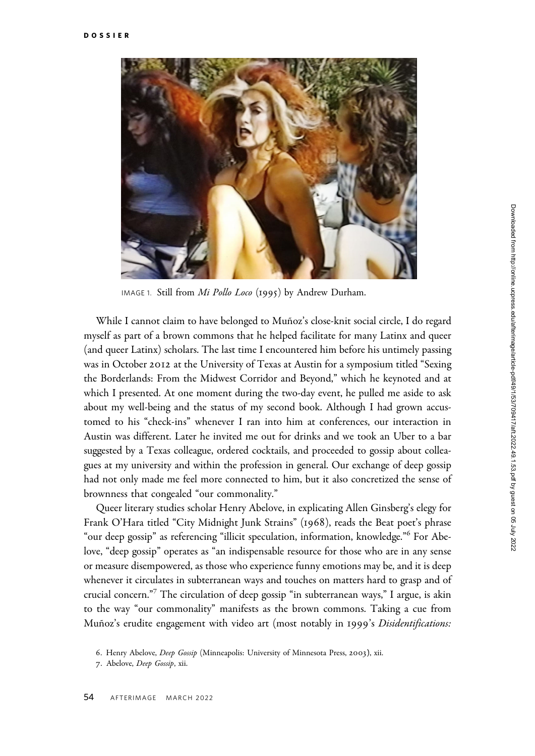

IMAGE 1. Still from Mi Pollo Loco (1995) by Andrew Durham.

While I cannot claim to have belonged to Muñoz's close-knit social circle, I do regard myself as part of a brown commons that he helped facilitate for many Latinx and queer (and queer Latinx) scholars. The last time I encountered him before his untimely passing was in October 2012 at the University of Texas at Austin for a symposium titled "Sexing the Borderlands: From the Midwest Corridor and Beyond," which he keynoted and at which I presented. At one moment during the two-day event, he pulled me aside to ask about my well-being and the status of my second book. Although I had grown accustomed to his "check-ins" whenever I ran into him at conferences, our interaction in Austin was different. Later he invited me out for drinks and we took an Uber to a bar suggested by a Texas colleague, ordered cocktails, and proceeded to gossip about colleagues at my university and within the profession in general. Our exchange of deep gossip had not only made me feel more connected to him, but it also concretized the sense of brownness that congealed "our commonality."

Queer literary studies scholar Henry Abelove, in explicating Allen Ginsberg's elegy for Frank O'Hara titled "City Midnight Junk Strains" (1968), reads the Beat poet's phrase "our deep gossip" as referencing "illicit speculation, information, knowledge."<sup>6</sup> For Abelove, "deep gossip" operates as "an indispensable resource for those who are in any sense or measure disempowered, as those who experience funny emotions may be, and it is deep whenever it circulates in subterranean ways and touches on matters hard to grasp and of crucial concern."7 The circulation of deep gossip "in subterranean ways," I argue, is akin to the way "our commonality" manifests as the brown commons. Taking a cue from Muñoz's erudite engagement with video art (most notably in 1999's Disidentifications:

<sup>6.</sup> Henry Abelove, Deep Gossip (Minneapolis: University of Minnesota Press, 2003), xii.

<sup>7</sup>. Abelove, Deep Gossip, xii.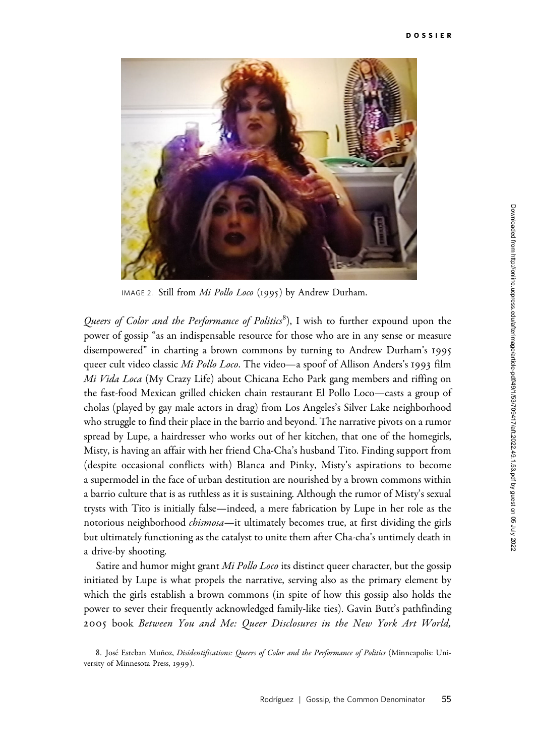

IMAGE 2. Still from Mi Pollo Loco (1995) by Andrew Durham.

Queers of Color and the Performance of Politics<sup>8</sup>), I wish to further expound upon the power of gossip "as an indispensable resource for those who are in any sense or measure disempowered" in charting a brown commons by turning to Andrew Durham's 1995 queer cult video classic Mi Pollo Loco. The video—a spoof of Allison Anders's 1993 film Mi Vida Loca (My Crazy Life) about Chicana Echo Park gang members and riffing on the fast-food Mexican grilled chicken chain restaurant El Pollo Loco—casts a group of cholas (played by gay male actors in drag) from Los Angeles's Silver Lake neighborhood who struggle to find their place in the barrio and beyond. The narrative pivots on a rumor spread by Lupe, a hairdresser who works out of her kitchen, that one of the homegirls, Misty, is having an affair with her friend Cha-Cha's husband Tito. Finding support from (despite occasional conflicts with) Blanca and Pinky, Misty's aspirations to become a supermodel in the face of urban destitution are nourished by a brown commons within a barrio culture that is as ruthless as it is sustaining. Although the rumor of Misty's sexual trysts with Tito is initially false—indeed, a mere fabrication by Lupe in her role as the notorious neighborhood *chismosa*—it ultimately becomes true, at first dividing the girls but ultimately functioning as the catalyst to unite them after Cha-cha's untimely death in a drive-by shooting.

Satire and humor might grant *Mi Pollo Loco* its distinct queer character, but the gossip initiated by Lupe is what propels the narrative, serving also as the primary element by which the girls establish a brown commons (in spite of how this gossip also holds the power to sever their frequently acknowledged family-like ties). Gavin Butt's pathfinding 2005 book Between You and Me: Queer Disclosures in the New York Art World,

<sup>8.</sup> José Esteban Muñoz, Disidentifications: Queers of Color and the Performance of Politics (Minneapolis: University of Minnesota Press, 1999).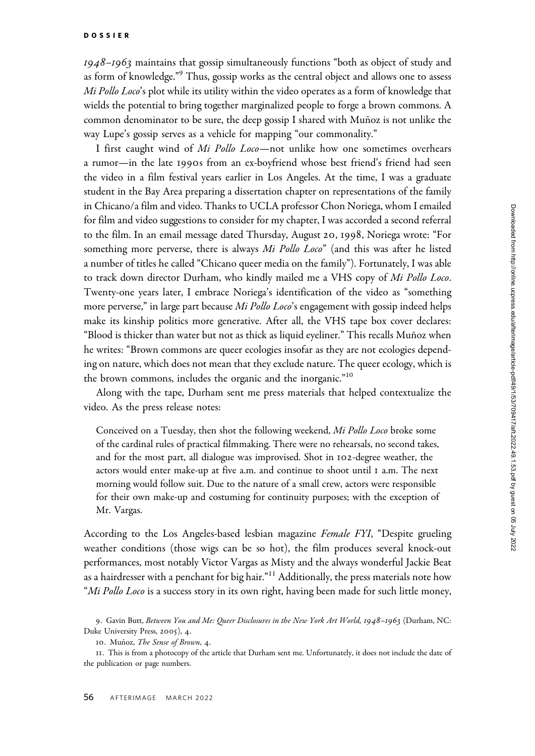1948–1963 maintains that gossip simultaneously functions "both as object of study and as form of knowledge."<sup>9</sup> Thus, gossip works as the central object and allows one to assess Mi Pollo Loco's plot while its utility within the video operates as a form of knowledge that wields the potential to bring together marginalized people to forge a brown commons. A common denominator to be sure, the deep gossip I shared with Muñoz is not unlike the way Lupe's gossip serves as a vehicle for mapping "our commonality."

I first caught wind of Mi Pollo Loco-not unlike how one sometimes overhears a rumor—in the late 1990s from an ex-boyfriend whose best friend's friend had seen the video in a film festival years earlier in Los Angeles. At the time, I was a graduate student in the Bay Area preparing a dissertation chapter on representations of the family in Chicano/a film and video. Thanks to UCLA professor Chon Noriega, whom I emailed for film and video suggestions to consider for my chapter, I was accorded a second referral to the film. In an email message dated Thursday, August 20, 1998, Noriega wrote: "For something more perverse, there is always Mi Pollo Loco" (and this was after he listed a number of titles he called "Chicano queer media on the family"). Fortunately, I was able to track down director Durham, who kindly mailed me a VHS copy of Mi Pollo Loco. Twenty-one years later, I embrace Noriega's identification of the video as "something more perverse," in large part because  $Mi$  Pollo Loco's engagement with gossip indeed helps make its kinship politics more generative. After all, the VHS tape box cover declares: "Blood is thicker than water but not as thick as liquid eyeliner." This recalls Mun˜oz when he writes: "Brown commons are queer ecologies insofar as they are not ecologies depending on nature, which does not mean that they exclude nature. The queer ecology, which is the brown commons, includes the organic and the inorganic."<sup>10</sup>

Along with the tape, Durham sent me press materials that helped contextualize the video. As the press release notes:

Conceived on a Tuesday, then shot the following weekend, Mi Pollo Loco broke some of the cardinal rules of practical filmmaking. There were no rehearsals, no second takes, and for the most part, all dialogue was improvised. Shot in 102-degree weather, the actors would enter make-up at five a.m. and continue to shoot until 1 a.m. The next morning would follow suit. Due to the nature of a small crew, actors were responsible for their own make-up and costuming for continuity purposes; with the exception of Mr. Vargas.

According to the Los Angeles-based lesbian magazine Female FYI, "Despite grueling weather conditions (those wigs can be so hot), the film produces several knock-out performances, most notably Victor Vargas as Misty and the always wonderful Jackie Beat as a hairdresser with a penchant for big hair."<sup>11</sup> Additionally, the press materials note how "Mi Pollo Loco is a success story in its own right, having been made for such little money,

<sup>9.</sup> Gavin Butt, Between You and Me: Queer Disclosures in the New York Art World, 1948–1963 (Durham, NC: Duke University Press, 2005), 4.

<sup>10.</sup> Muñoz, The Sense of Brown, 4.

<sup>11</sup>. This is from a photocopy of the article that Durham sent me. Unfortunately, it does not include the date of the publication or page numbers.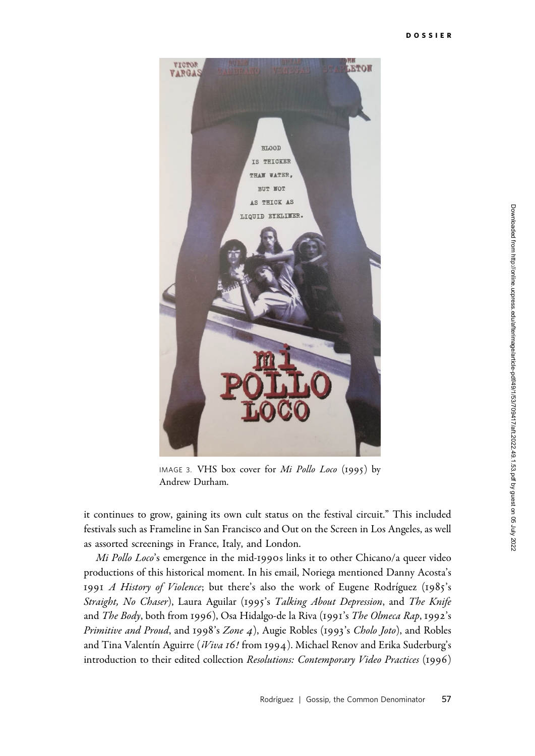

IMAGE 3. VHS box cover for Mi Pollo Loco (1995) by Andrew Durham.

it continues to grow, gaining its own cult status on the festival circuit." This included festivals such as Frameline in San Francisco and Out on the Screen in Los Angeles, as well as assorted screenings in France, Italy, and London.

Mi Pollo Loco's emergence in the mid-1990s links it to other Chicano/a queer video productions of this historical moment. In his email, Noriega mentioned Danny Acosta's 1991 A History of Violence; but there's also the work of Eugene Rodríguez (1985's Straight, No Chaser), Laura Aguilar (1995's Talking About Depression, and The Knife and The Body, both from 1996), Osa Hidalgo-de la Riva (1991's The Olmeca Rap, 1992's Primitive and Proud, and 1998's Zone 4), Augie Robles (1993's Cholo Joto), and Robles and Tina Valentín Aguirre (*iViva 16!* from 1994). Michael Renov and Erika Suderburg's introduction to their edited collection Resolutions: Contemporary Video Practices (1996)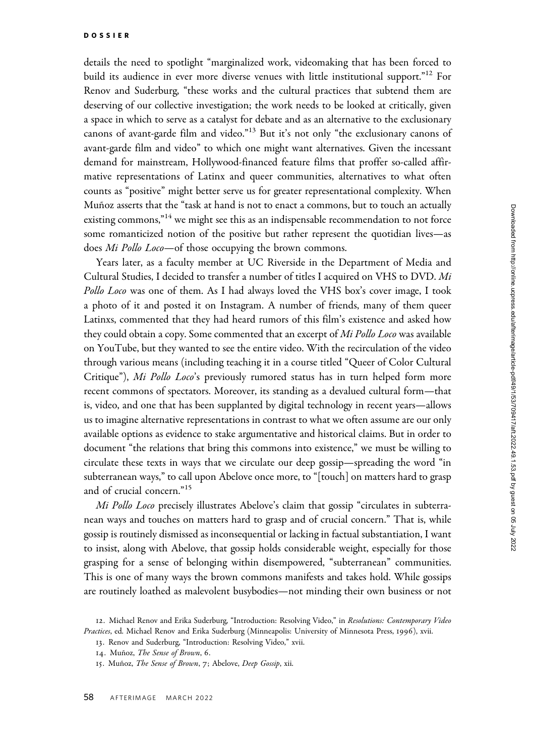details the need to spotlight "marginalized work, videomaking that has been forced to build its audience in ever more diverse venues with little institutional support."<sup>12</sup> For Renov and Suderburg, "these works and the cultural practices that subtend them are deserving of our collective investigation; the work needs to be looked at critically, given a space in which to serve as a catalyst for debate and as an alternative to the exclusionary canons of avant-garde film and video."<sup>13</sup> But it's not only "the exclusionary canons of avant-garde film and video" to which one might want alternatives. Given the incessant demand for mainstream, Hollywood-financed feature films that proffer so-called affirmative representations of Latinx and queer communities, alternatives to what often counts as "positive" might better serve us for greater representational complexity. When Muñoz asserts that the "task at hand is not to enact a commons, but to touch an actually existing commons," $14$  we might see this as an indispensable recommendation to not force some romanticized notion of the positive but rather represent the quotidian lives—as does Mi Pollo Loco—of those occupying the brown commons.

Years later, as a faculty member at UC Riverside in the Department of Media and Cultural Studies, I decided to transfer a number of titles I acquired on VHS to DVD. Mi Pollo Loco was one of them. As I had always loved the VHS box's cover image, I took a photo of it and posted it on Instagram. A number of friends, many of them queer Latinxs, commented that they had heard rumors of this film's existence and asked how they could obtain a copy. Some commented that an excerpt of Mi Pollo Loco was available on YouTube, but they wanted to see the entire video. With the recirculation of the video through various means (including teaching it in a course titled "Queer of Color Cultural Critique"), Mi Pollo Loco's previously rumored status has in turn helped form more recent commons of spectators. Moreover, its standing as a devalued cultural form—that is, video, and one that has been supplanted by digital technology in recent years—allows us to imagine alternative representations in contrast to what we often assume are our only available options as evidence to stake argumentative and historical claims. But in order to document "the relations that bring this commons into existence," we must be willing to circulate these texts in ways that we circulate our deep gossip—spreading the word "in subterranean ways," to call upon Abelove once more, to "[touch] on matters hard to grasp and of crucial concern."<sup>15</sup>

Mi Pollo Loco precisely illustrates Abelove's claim that gossip "circulates in subterranean ways and touches on matters hard to grasp and of crucial concern." That is, while gossip is routinely dismissed as inconsequential or lacking in factual substantiation, I want to insist, along with Abelove, that gossip holds considerable weight, especially for those grasping for a sense of belonging within disempowered, "subterranean" communities. This is one of many ways the brown commons manifests and takes hold. While gossips are routinely loathed as malevolent busybodies—not minding their own business or not

<sup>12.</sup> Michael Renov and Erika Suderburg, "Introduction: Resolving Video," in Resolutions: Contemporary Video Practices, ed. Michael Renov and Erika Suderburg (Minneapolis: University of Minnesota Press, 1996), xvii.

<sup>13</sup>. Renov and Suderburg, "Introduction: Resolving Video," xvii.

<sup>14.</sup> Muñoz, The Sense of Brown, 6.

<sup>15.</sup> Muñoz, The Sense of Brown, 7; Abelove, Deep Gossip, xii.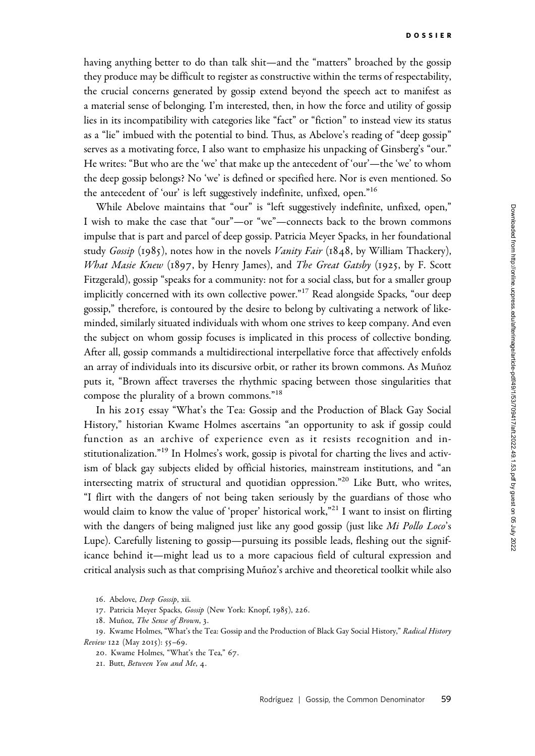having anything better to do than talk shit—and the "matters" broached by the gossip they produce may be difficult to register as constructive within the terms of respectability, the crucial concerns generated by gossip extend beyond the speech act to manifest as a material sense of belonging. I'm interested, then, in how the force and utility of gossip lies in its incompatibility with categories like "fact" or "fiction" to instead view its status as a "lie" imbued with the potential to bind. Thus, as Abelove's reading of "deep gossip" serves as a motivating force, I also want to emphasize his unpacking of Ginsberg's "our." He writes: "But who are the 'we' that make up the antecedent of 'our'—the 'we' to whom the deep gossip belongs? No 'we' is defined or specified here. Nor is even mentioned. So the antecedent of 'our' is left suggestively indefinite, unfixed, open."<sup>16</sup>

While Abelove maintains that "our" is "left suggestively indefinite, unfixed, open," I wish to make the case that "our"—or "we"—connects back to the brown commons impulse that is part and parcel of deep gossip. Patricia Meyer Spacks, in her foundational study  $Gossip$  (1985), notes how in the novels *Vanity Fair* (1848, by William Thackery), *What Masie Knew* (1897, by Henry James), and *The Great Gatsby* (1925, by F. Scott Fitzgerald), gossip "speaks for a community: not for a social class, but for a smaller group implicitly concerned with its own collective power."<sup>17</sup> Read alongside Spacks, "our deep gossip," therefore, is contoured by the desire to belong by cultivating a network of likeminded, similarly situated individuals with whom one strives to keep company. And even the subject on whom gossip focuses is implicated in this process of collective bonding. After all, gossip commands a multidirectional interpellative force that affectively enfolds an array of individuals into its discursive orbit, or rather its brown commons. As Muñoz puts it, "Brown affect traverses the rhythmic spacing between those singularities that compose the plurality of a brown commons."<sup>18</sup>

In his 2015 essay "What's the Tea: Gossip and the Production of Black Gay Social History," historian Kwame Holmes ascertains "an opportunity to ask if gossip could function as an archive of experience even as it resists recognition and institutionalization."<sup>19</sup> In Holmes's work, gossip is pivotal for charting the lives and activism of black gay subjects elided by official histories, mainstream institutions, and "an intersecting matrix of structural and quotidian oppression."20 Like Butt, who writes, "I flirt with the dangers of not being taken seriously by the guardians of those who would claim to know the value of 'proper' historical work,"<sup>21</sup> I want to insist on flirting with the dangers of being maligned just like any good gossip (just like Mi Pollo Loco's Lupe). Carefully listening to gossip—pursuing its possible leads, fleshing out the significance behind it—might lead us to a more capacious field of cultural expression and critical analysis such as that comprising Muñoz's archive and theoretical toolkit while also

<sup>16</sup>. Abelove, Deep Gossip, xii.

<sup>17</sup>. Patricia Meyer Spacks, Gossip (New York: Knopf, 1985), 226.

<sup>18.</sup> Muñoz, The Sense of Brown, 3.

<sup>19.</sup> Kwame Holmes, "What's the Tea: Gossip and the Production of Black Gay Social History," Radical History Review 122 (May 2015): 55–69.

<sup>20</sup>. Kwame Holmes, "What's the Tea," 67.

<sup>21</sup>. Butt, Between You and Me, 4.